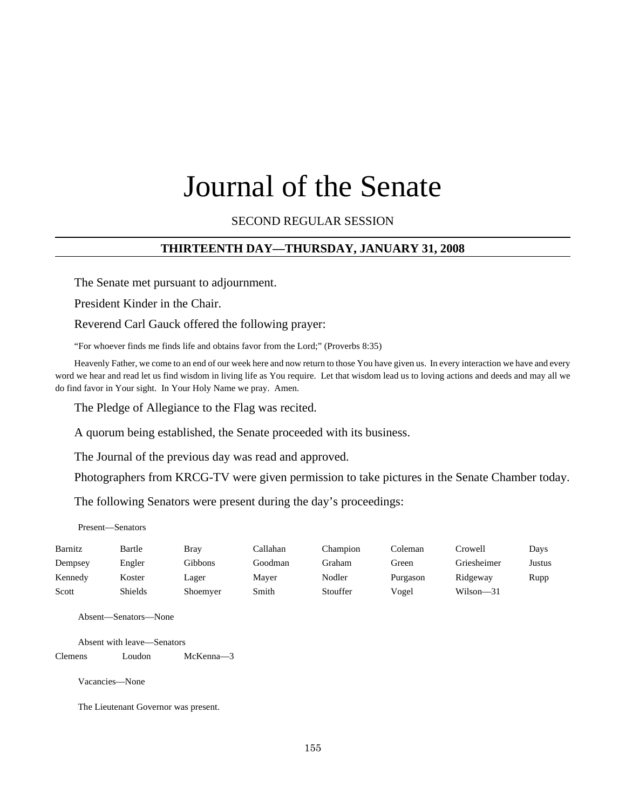# Journal of the Senate

SECOND REGULAR SESSION

#### **THIRTEENTH DAY—THURSDAY, JANUARY 31, 2008**

The Senate met pursuant to adjournment.

President Kinder in the Chair.

Reverend Carl Gauck offered the following prayer:

"For whoever finds me finds life and obtains favor from the Lord;" (Proverbs 8:35)

Heavenly Father, we come to an end of our week here and now return to those You have given us. In every interaction we have and every word we hear and read let us find wisdom in living life as You require. Let that wisdom lead us to loving actions and deeds and may all we do find favor in Your sight. In Your Holy Name we pray. Amen.

The Pledge of Allegiance to the Flag was recited.

A quorum being established, the Senate proceeded with its business.

The Journal of the previous day was read and approved.

Photographers from KRCG-TV were given permission to take pictures in the Senate Chamber today.

The following Senators were present during the day's proceedings:

Present—Senators

| Barnitz | Bartle  | Brav     | Callahan | Champion | Coleman  | Crowell     | Days   |
|---------|---------|----------|----------|----------|----------|-------------|--------|
| Dempsey | Engler  | Gibbons  | Goodman  | Graham   | Green    | Griesheimer | Justus |
| Kennedy | Koster  | Lager    | Maver    | Nodler   | Purgason | Ridgeway    | Rupp   |
| Scott   | Shields | Shoemyer | Smith    | Stouffer | Vogel    | Wilson-31   |        |

Absent—Senators—None

Absent with leave—Senators

Clemens Loudon McKenna—3

Vacancies—None

The Lieutenant Governor was present.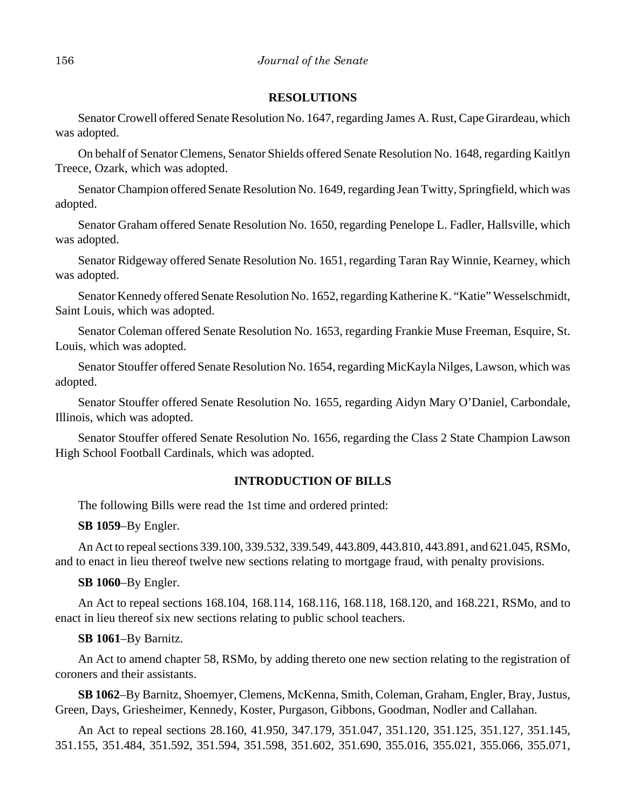#### **RESOLUTIONS**

Senator Crowell offered Senate Resolution No. 1647, regarding James A. Rust, Cape Girardeau, which was adopted.

On behalf of Senator Clemens, Senator Shields offered Senate Resolution No. 1648, regarding Kaitlyn Treece, Ozark, which was adopted.

Senator Champion offered Senate Resolution No. 1649, regarding Jean Twitty, Springfield, which was adopted.

Senator Graham offered Senate Resolution No. 1650, regarding Penelope L. Fadler, Hallsville, which was adopted.

Senator Ridgeway offered Senate Resolution No. 1651, regarding Taran Ray Winnie, Kearney, which was adopted.

Senator Kennedy offered Senate Resolution No. 1652, regarding Katherine K. "Katie" Wesselschmidt, Saint Louis, which was adopted.

Senator Coleman offered Senate Resolution No. 1653, regarding Frankie Muse Freeman, Esquire, St. Louis, which was adopted.

Senator Stouffer offered Senate Resolution No. 1654, regarding MicKayla Nilges, Lawson, which was adopted.

Senator Stouffer offered Senate Resolution No. 1655, regarding Aidyn Mary O'Daniel, Carbondale, Illinois, which was adopted.

Senator Stouffer offered Senate Resolution No. 1656, regarding the Class 2 State Champion Lawson High School Football Cardinals, which was adopted.

#### **INTRODUCTION OF BILLS**

The following Bills were read the 1st time and ordered printed:

**SB 1059**–By Engler.

An Act to repeal sections 339.100, 339.532, 339.549, 443.809, 443.810, 443.891, and 621.045, RSMo, and to enact in lieu thereof twelve new sections relating to mortgage fraud, with penalty provisions.

**SB 1060**–By Engler.

An Act to repeal sections 168.104, 168.114, 168.116, 168.118, 168.120, and 168.221, RSMo, and to enact in lieu thereof six new sections relating to public school teachers.

#### **SB 1061**–By Barnitz.

An Act to amend chapter 58, RSMo, by adding thereto one new section relating to the registration of coroners and their assistants.

**SB 1062**–By Barnitz, Shoemyer, Clemens, McKenna, Smith, Coleman, Graham, Engler, Bray, Justus, Green, Days, Griesheimer, Kennedy, Koster, Purgason, Gibbons, Goodman, Nodler and Callahan.

An Act to repeal sections 28.160, 41.950, 347.179, 351.047, 351.120, 351.125, 351.127, 351.145, 351.155, 351.484, 351.592, 351.594, 351.598, 351.602, 351.690, 355.016, 355.021, 355.066, 355.071,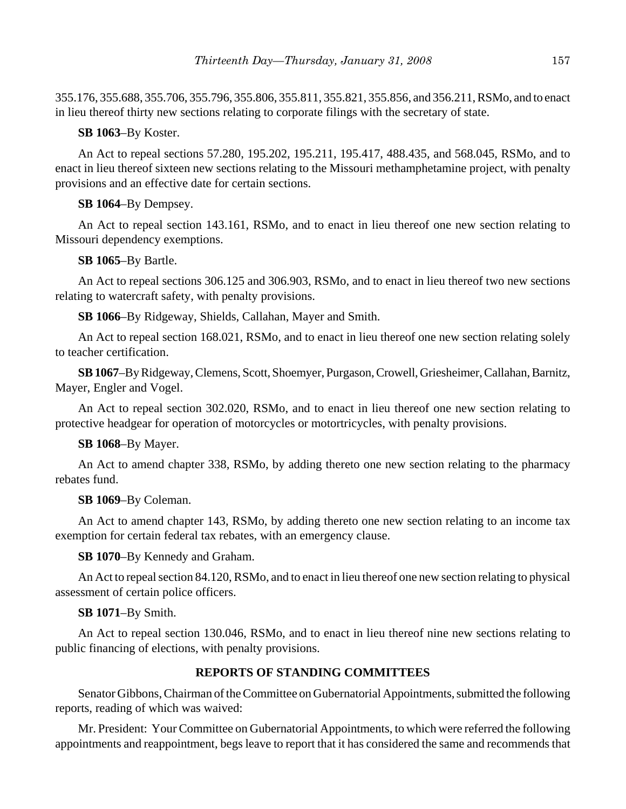355.176, 355.688, 355.706, 355.796, 355.806, 355.811, 355.821, 355.856, and 356.211, RSMo, and to enact in lieu thereof thirty new sections relating to corporate filings with the secretary of state.

## **SB 1063**–By Koster.

An Act to repeal sections 57.280, 195.202, 195.211, 195.417, 488.435, and 568.045, RSMo, and to enact in lieu thereof sixteen new sections relating to the Missouri methamphetamine project, with penalty provisions and an effective date for certain sections.

# **SB 1064**–By Dempsey.

An Act to repeal section 143.161, RSMo, and to enact in lieu thereof one new section relating to Missouri dependency exemptions.

## **SB 1065**–By Bartle.

An Act to repeal sections 306.125 and 306.903, RSMo, and to enact in lieu thereof two new sections relating to watercraft safety, with penalty provisions.

**SB 1066**–By Ridgeway, Shields, Callahan, Mayer and Smith.

An Act to repeal section 168.021, RSMo, and to enact in lieu thereof one new section relating solely to teacher certification.

**SB 1067**–By Ridgeway, Clemens, Scott, Shoemyer, Purgason, Crowell, Griesheimer, Callahan, Barnitz, Mayer, Engler and Vogel.

An Act to repeal section 302.020, RSMo, and to enact in lieu thereof one new section relating to protective headgear for operation of motorcycles or motortricycles, with penalty provisions.

# **SB 1068**–By Mayer.

An Act to amend chapter 338, RSMo, by adding thereto one new section relating to the pharmacy rebates fund.

## **SB 1069**–By Coleman.

An Act to amend chapter 143, RSMo, by adding thereto one new section relating to an income tax exemption for certain federal tax rebates, with an emergency clause.

## **SB 1070**–By Kennedy and Graham.

An Act to repeal section 84.120, RSMo, and to enact in lieu thereof one new section relating to physical assessment of certain police officers.

# **SB 1071**–By Smith.

An Act to repeal section 130.046, RSMo, and to enact in lieu thereof nine new sections relating to public financing of elections, with penalty provisions.

# **REPORTS OF STANDING COMMITTEES**

Senator Gibbons, Chairman of the Committee on Gubernatorial Appointments, submitted the following reports, reading of which was waived:

Mr. President: Your Committee on Gubernatorial Appointments, to which were referred the following appointments and reappointment, begs leave to report that it has considered the same and recommends that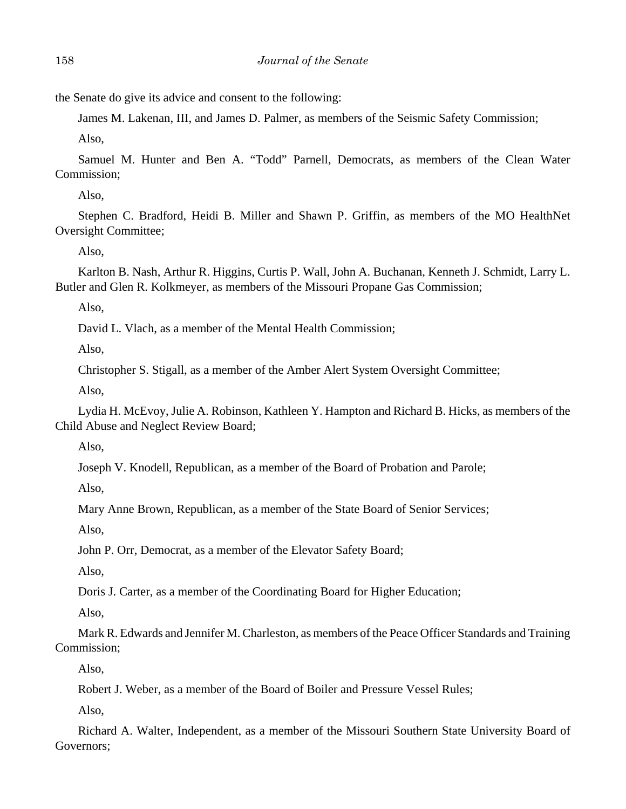the Senate do give its advice and consent to the following:

James M. Lakenan, III, and James D. Palmer, as members of the Seismic Safety Commission;

Also,

Samuel M. Hunter and Ben A. "Todd" Parnell, Democrats, as members of the Clean Water Commission;

Also,

Stephen C. Bradford, Heidi B. Miller and Shawn P. Griffin, as members of the MO HealthNet Oversight Committee;

Also,

Karlton B. Nash, Arthur R. Higgins, Curtis P. Wall, John A. Buchanan, Kenneth J. Schmidt, Larry L. Butler and Glen R. Kolkmeyer, as members of the Missouri Propane Gas Commission;

Also,

David L. Vlach, as a member of the Mental Health Commission;

Also,

Christopher S. Stigall, as a member of the Amber Alert System Oversight Committee;

Also,

Lydia H. McEvoy, Julie A. Robinson, Kathleen Y. Hampton and Richard B. Hicks, as members of the Child Abuse and Neglect Review Board;

Also,

Joseph V. Knodell, Republican, as a member of the Board of Probation and Parole;

Also,

Mary Anne Brown, Republican, as a member of the State Board of Senior Services;

Also,

John P. Orr, Democrat, as a member of the Elevator Safety Board;

Also,

Doris J. Carter, as a member of the Coordinating Board for Higher Education;

Also,

Mark R. Edwards and Jennifer M. Charleston, as members of the Peace Officer Standards and Training Commission;

Also,

Robert J. Weber, as a member of the Board of Boiler and Pressure Vessel Rules;

Also,

Richard A. Walter, Independent, as a member of the Missouri Southern State University Board of Governors;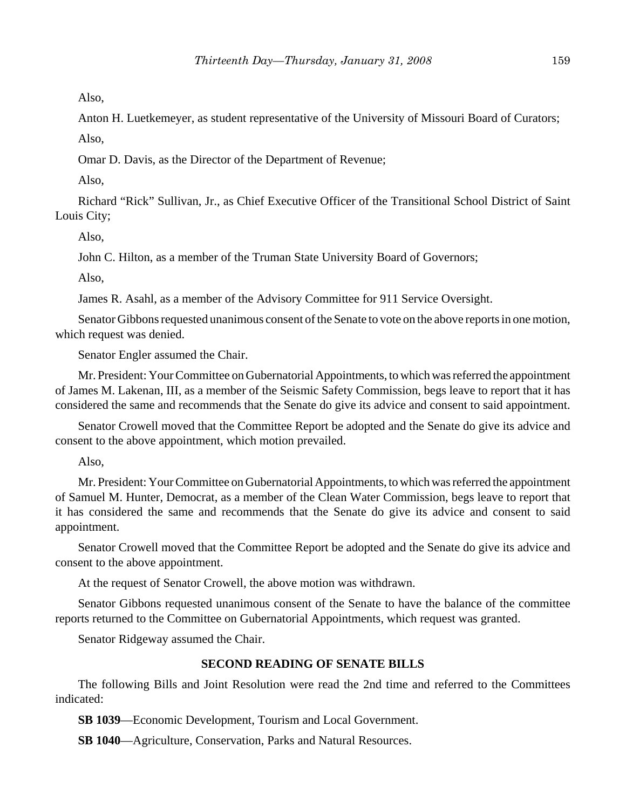Also,

Anton H. Luetkemeyer, as student representative of the University of Missouri Board of Curators;

Also,

Omar D. Davis, as the Director of the Department of Revenue;

Also,

Richard "Rick" Sullivan, Jr., as Chief Executive Officer of the Transitional School District of Saint Louis City;

Also,

John C. Hilton, as a member of the Truman State University Board of Governors;

Also,

James R. Asahl, as a member of the Advisory Committee for 911 Service Oversight.

Senator Gibbons requested unanimous consent of the Senate to vote on the above reports in one motion, which request was denied.

Senator Engler assumed the Chair.

Mr. President: Your Committee on Gubernatorial Appointments, to which was referred the appointment of James M. Lakenan, III, as a member of the Seismic Safety Commission, begs leave to report that it has considered the same and recommends that the Senate do give its advice and consent to said appointment.

Senator Crowell moved that the Committee Report be adopted and the Senate do give its advice and consent to the above appointment, which motion prevailed.

Also,

Mr. President: Your Committee on Gubernatorial Appointments, to which was referred the appointment of Samuel M. Hunter, Democrat, as a member of the Clean Water Commission, begs leave to report that it has considered the same and recommends that the Senate do give its advice and consent to said appointment.

Senator Crowell moved that the Committee Report be adopted and the Senate do give its advice and consent to the above appointment.

At the request of Senator Crowell, the above motion was withdrawn.

Senator Gibbons requested unanimous consent of the Senate to have the balance of the committee reports returned to the Committee on Gubernatorial Appointments, which request was granted.

Senator Ridgeway assumed the Chair.

## **SECOND READING OF SENATE BILLS**

The following Bills and Joint Resolution were read the 2nd time and referred to the Committees indicated:

**SB 1039**—Economic Development, Tourism and Local Government.

**SB 1040**—Agriculture, Conservation, Parks and Natural Resources.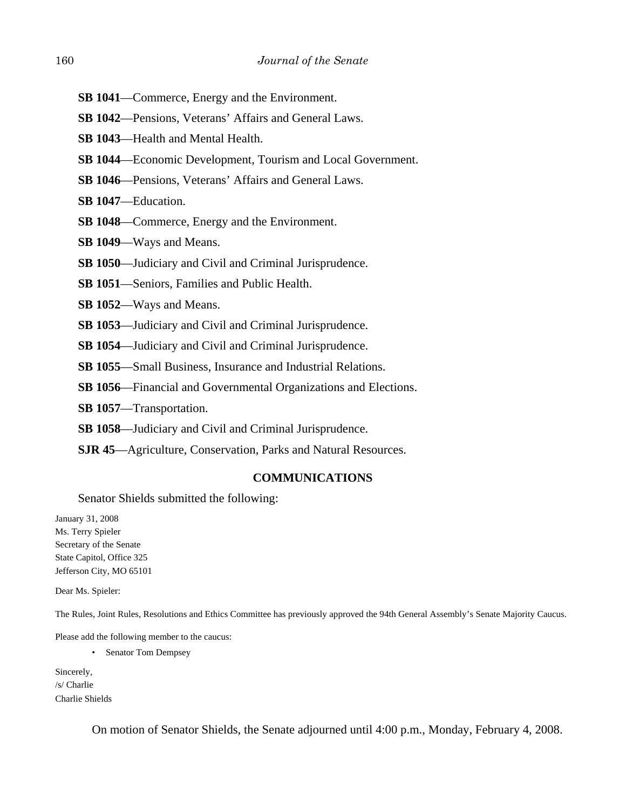- **SB 1041**—Commerce, Energy and the Environment.
- **SB 1042**—Pensions, Veterans' Affairs and General Laws.
- **SB 1043**—Health and Mental Health.
- **SB 1044**—Economic Development, Tourism and Local Government.
- **SB 1046**—Pensions, Veterans' Affairs and General Laws.
- **SB 1047**—Education.
- **SB 1048**—Commerce, Energy and the Environment.
- **SB 1049**—Ways and Means.
- **SB 1050**—Judiciary and Civil and Criminal Jurisprudence.
- **SB 1051**—Seniors, Families and Public Health.
- **SB 1052**—Ways and Means.
- **SB 1053**—Judiciary and Civil and Criminal Jurisprudence.
- **SB 1054**—Judiciary and Civil and Criminal Jurisprudence.
- **SB 1055**—Small Business, Insurance and Industrial Relations.
- **SB 1056**—Financial and Governmental Organizations and Elections.
- **SB 1057**—Transportation.
- **SB 1058**—Judiciary and Civil and Criminal Jurisprudence.
- **SJR 45**—Agriculture, Conservation, Parks and Natural Resources.

#### **COMMUNICATIONS**

Senator Shields submitted the following:

January 31, 2008 Ms. Terry Spieler Secretary of the Senate State Capitol, Office 325 Jefferson City, MO 65101

Dear Ms. Spieler:

The Rules, Joint Rules, Resolutions and Ethics Committee has previously approved the 94th General Assembly's Senate Majority Caucus.

Please add the following member to the caucus:

• Senator Tom Dempsey

Sincerely, /s/ Charlie Charlie Shields

On motion of Senator Shields, the Senate adjourned until 4:00 p.m., Monday, February 4, 2008.